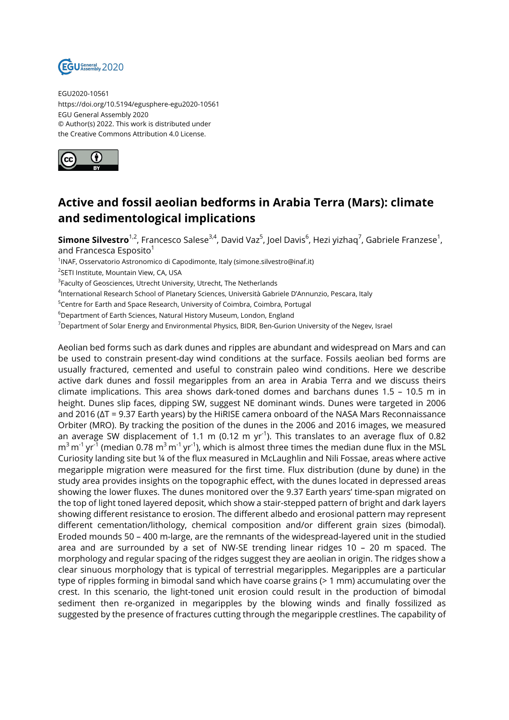

EGU2020-10561 https://doi.org/10.5194/egusphere-egu2020-10561 EGU General Assembly 2020 © Author(s) 2022. This work is distributed under the Creative Commons Attribution 4.0 License.



## **Active and fossil aeolian bedforms in Arabia Terra (Mars): climate and sedimentological implications**

**Simone Silvestro**<sup>1,2</sup>, Francesco Salese<sup>3,4</sup>, David Vaz<sup>5</sup>, Joel Davis<sup>6</sup>, Hezi yizhaq<sup>7</sup>, Gabriele Franzese<sup>1</sup>, and Francesca Esposito<sup>1</sup>

<sup>1</sup>INAF, Osservatorio Astronomico di Capodimonte, Italy (simone.silvestro@inaf.it)

2 SETI Institute, Mountain View, CA, USA

 $^3$ Faculty of Geosciences, Utrecht University, Utrecht, The Netherlands

4 International Research School of Planetary Sciences, Università Gabriele D'Annunzio, Pescara, Italy

<sup>5</sup>Centre for Earth and Space Research, University of Coimbra, Coimbra, Portugal

<sup>6</sup>Department of Earth Sciences, Natural History Museum, London, England

<sup>7</sup>Department of Solar Energy and Environmental Physics, BIDR, Ben-Gurion University of the Negev, Israel

Aeolian bed forms such as dark dunes and ripples are abundant and widespread on Mars and can be used to constrain present-day wind conditions at the surface. Fossils aeolian bed forms are usually fractured, cemented and useful to constrain paleo wind conditions. Here we describe active dark dunes and fossil megaripples from an area in Arabia Terra and we discuss theirs climate implications. This area shows dark-toned domes and barchans dunes 1.5 – 10.5 m in height. Dunes slip faces, dipping SW, suggest NE dominant winds. Dunes were targeted in 2006 and 2016 (ΔT = 9.37 Earth years) by the HiRISE camera onboard of the NASA Mars Reconnaissance Orbiter (MRO). By tracking the position of the dunes in the 2006 and 2016 images, we measured an average SW displacement of 1.1 m (0.12 m yr<sup>-1</sup>). This translates to an average flux of 0.82  $\textsf{m}^{3}\,\textsf{m}^{1}\,\textsf{yr}^{1}$  (median 0.78  $\textsf{m}^{3}\,\textsf{m}^{1}\,\textsf{yr}^{1}$ ), which is almost three times the median dune flux in the MSL Curiosity landing site but ¼ of the flux measured in McLaughlin and Nili Fossae, areas where active megaripple migration were measured for the first time. Flux distribution (dune by dune) in the study area provides insights on the topographic effect, with the dunes located in depressed areas showing the lower fluxes. The dunes monitored over the 9.37 Earth years' time-span migrated on the top of light toned layered deposit, which show a stair-stepped pattern of bright and dark layers showing different resistance to erosion. The different albedo and erosional pattern may represent different cementation/lithology, chemical composition and/or different grain sizes (bimodal). Eroded mounds 50 – 400 m-large, are the remnants of the widespread-layered unit in the studied area and are surrounded by a set of NW-SE trending linear ridges 10 – 20 m spaced. The morphology and regular spacing of the ridges suggest they are aeolian in origin. The ridges show a clear sinuous morphology that is typical of terrestrial megaripples. Megaripples are a particular type of ripples forming in bimodal sand which have coarse grains (> 1 mm) accumulating over the crest. In this scenario, the light-toned unit erosion could result in the production of bimodal sediment then re-organized in megaripples by the blowing winds and finally fossilized as suggested by the presence of fractures cutting through the megaripple crestlines. The capability of